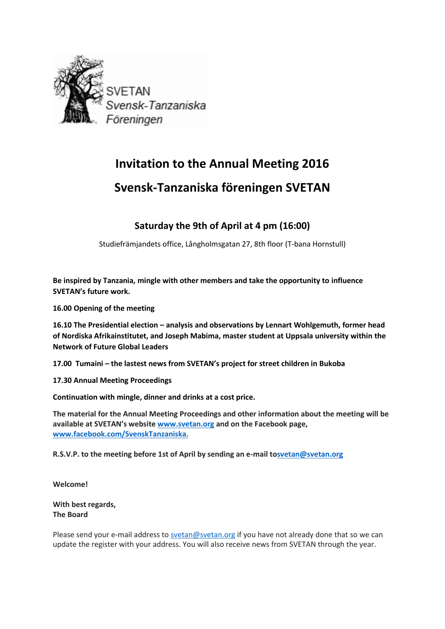

# **Invitation to the Annual Meeting 2016**

# **Svensk-Tanzaniska föreningen SVETAN**

#### **Saturday the 9th of April at 4 pm (16:00)**

Studiefrämjandets office, Långholmsgatan 27, 8th floor (T-bana Hornstull)

**Be inspired by Tanzania, mingle with other members and take the opportunity to influence SVETAN's future work.**

**16.00 Opening of the meeting**

**16.10 The Presidential election – analysis and observations by Lennart Wohlgemuth, former head of Nordiska Afrikainstitutet, and Joseph Mabima, master student at Uppsala university within the Network of Future Global Leaders**

**17.00 Tumaini – the lastest news from SVETAN's project for street children in Bukoba**

**17.30 Annual Meeting Proceedings**

**Continuation with mingle, dinner and drinks at a cost price.**

**The material for the Annual Meeting Proceedings and other information about the meeting will be available at SVETAN's website [www.svetan.org](http://www.svetan.org/) and on the Facebook page, [www.facebook.com/SvenskTanzaniska.](http://www.facebook.com/SvenskTanzaniska)**

**R.S.V.P. to the meeting before 1st of April by sending an e-mail t[osvetan@svetan.org](mailto:svetan@svetan.org)**

**Welcome!**

**With best regards, The Board**

Please send your e-mail address to [svetan@svetan.org](mailto:svetan@svetan.org) if you have not already done that so we can update the register with your address. You will also receive news from SVETAN through the year.